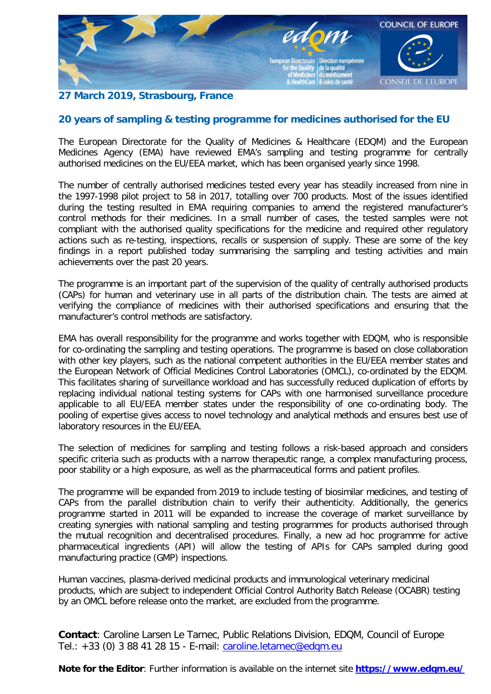

## **27 March 2019, Strasbourg, France**

## **20 years of sampling & testing programme for medicines authorised for the EU**

The European Directorate for the Quality of Medicines & Healthcare (EDQM) and the European Medicines Agency (EMA) have reviewed EMA's sampling and testing programme for centrally authorised medicines on the EU/EEA market, which has been organised yearly since 1998.

The number of centrally authorised medicines tested every year has steadily increased from nine in the 1997-1998 pilot project to 58 in 2017, totalling over 700 products. Most of the issues identified during the testing resulted in EMA requiring companies to amend the registered manufacturer's control methods for their medicines. In a small number of cases, the tested samples were not compliant with the authorised quality specifications for the medicine and required other regulatory actions such as re-testing, inspections, recalls or suspension of supply. These are some of the key findings in a report published today summarising the sampling and testing activities and main achievements over the past 20 years.

The programme is an important part of the supervision of the quality of centrally authorised products (CAPs) for human and veterinary use in all parts of the distribution chain. The tests are aimed at verifying the compliance of medicines with their authorised specifications and ensuring that the manufacturer's control methods are satisfactory.

EMA has overall responsibility for the programme and works together with EDQM, who is responsible for co-ordinating the sampling and testing operations. The programme is based on close collaboration with other key players, such as the national competent authorities in the EU/EEA member states and the European Network of Official Medicines Control Laboratories (OMCL), co-ordinated by the EDQM. This facilitates sharing of surveillance workload and has successfully reduced duplication of efforts by replacing individual national testing systems for CAPs with one harmonised surveillance procedure applicable to all EU/EEA member states under the responsibility of one co-ordinating body. The pooling of expertise gives access to novel technology and analytical methods and ensures best use of laboratory resources in the EU/EEA.

The selection of medicines for sampling and testing follows a risk-based approach and considers specific criteria such as products with a narrow therapeutic range, a complex manufacturing process, poor stability or a high exposure, as well as the pharmaceutical forms and patient profiles.

The programme will be expanded from 2019 to include testing of biosimilar medicines, and testing of CAPs from the parallel distribution chain to verify their authenticity. Additionally, the generics programme started in 2011 will be expanded to increase the coverage of market surveillance by creating synergies with national sampling and testing programmes for products authorised through the mutual recognition and decentralised procedures. Finally, a new ad hoc programme for active pharmaceutical ingredients (API) will allow the testing of APIs for CAPs sampled during good manufacturing practice (GMP) inspections.

Human vaccines, plasma-derived medicinal products and immunological veterinary medicinal products, which are subject to independent Official Control Authority Batch Release (OCABR) testing by an OMCL before release onto the market, are excluded from the programme.

**Contact**: Caroline Larsen Le Tarnec, Public Relations Division, EDQM, Council of Europe Tel.: +33 (0) 3 88 41 28 15 - E-mail: [caroline.letarnec@edqm.eu](mailto:caroline.letarnec@edqm.eu)

**Note for the Editor**: Further information is available on the internet site **<https://www.edqm.eu/>**